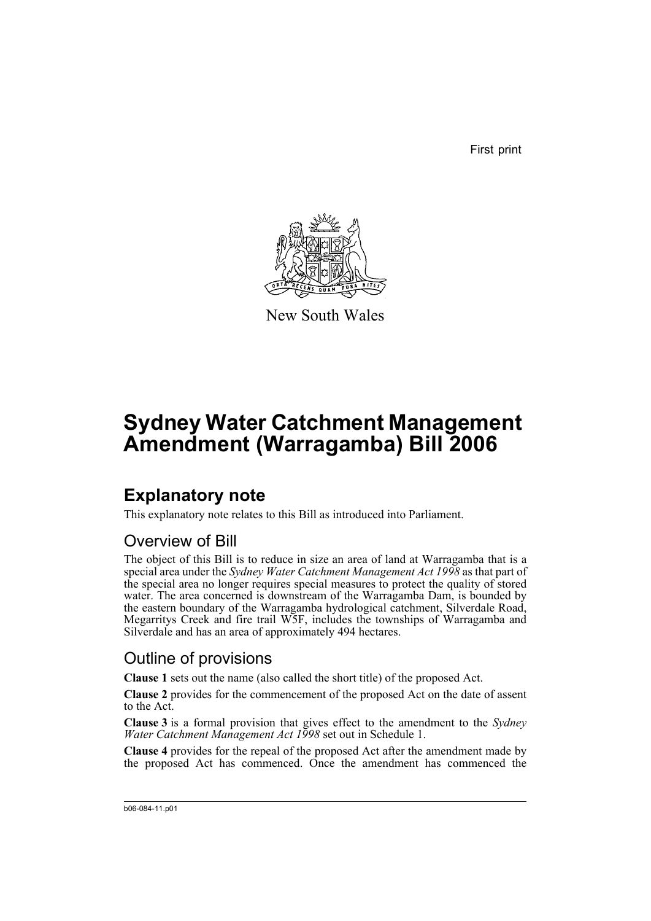First print



New South Wales

# **Sydney Water Catchment Management Amendment (Warragamba) Bill 2006**

## **Explanatory note**

This explanatory note relates to this Bill as introduced into Parliament.

### Overview of Bill

The object of this Bill is to reduce in size an area of land at Warragamba that is a special area under the *Sydney Water Catchment Management Act 1998* as that part of the special area no longer requires special measures to protect the quality of stored water. The area concerned is downstream of the Warragamba Dam, is bounded by the eastern boundary of the Warragamba hydrological catchment, Silverdale Road, Megarritys Creek and fire trail W5F, includes the townships of Warragamba and Silverdale and has an area of approximately 494 hectares.

### Outline of provisions

**Clause 1** sets out the name (also called the short title) of the proposed Act.

**Clause 2** provides for the commencement of the proposed Act on the date of assent to the Act.

**Clause 3** is a formal provision that gives effect to the amendment to the *Sydney Water Catchment Management Act 1998* set out in Schedule 1.

**Clause 4** provides for the repeal of the proposed Act after the amendment made by the proposed Act has commenced. Once the amendment has commenced the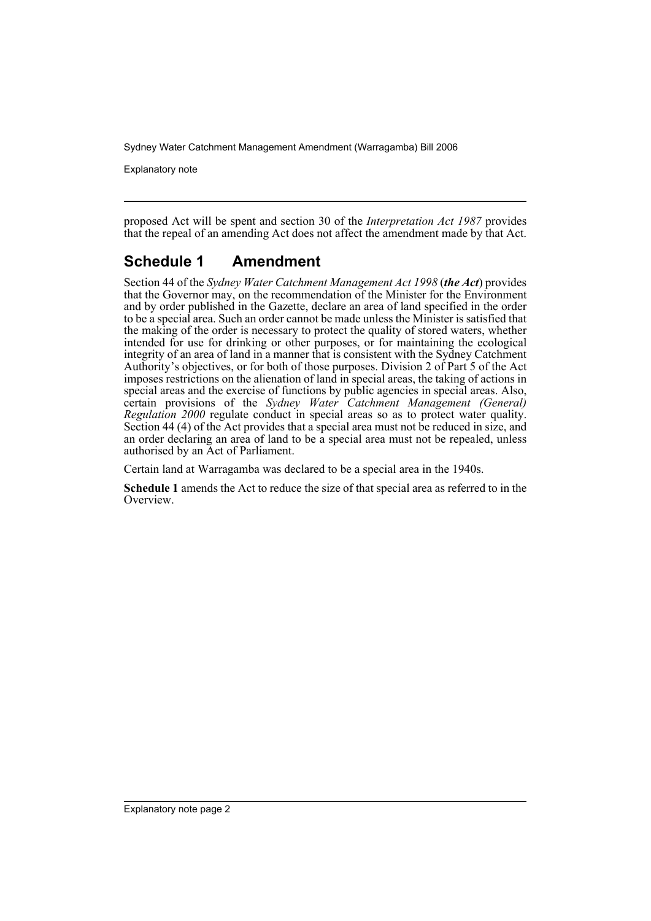Sydney Water Catchment Management Amendment (Warragamba) Bill 2006

Explanatory note

proposed Act will be spent and section 30 of the *Interpretation Act 1987* provides that the repeal of an amending Act does not affect the amendment made by that Act.

### **Schedule 1 Amendment**

Section 44 of the *Sydney Water Catchment Management Act 1998* (*the Act*) provides that the Governor may, on the recommendation of the Minister for the Environment and by order published in the Gazette, declare an area of land specified in the order to be a special area. Such an order cannot be made unless the Minister is satisfied that the making of the order is necessary to protect the quality of stored waters, whether intended for use for drinking or other purposes, or for maintaining the ecological integrity of an area of land in a manner that is consistent with the Sydney Catchment Authority's objectives, or for both of those purposes. Division 2 of Part 5 of the Act imposes restrictions on the alienation of land in special areas, the taking of actions in special areas and the exercise of functions by public agencies in special areas. Also, certain provisions of the *Sydney Water Catchment Management (General) Regulation 2000* regulate conduct in special areas so as to protect water quality. Section 44 (4) of the Act provides that a special area must not be reduced in size, and an order declaring an area of land to be a special area must not be repealed, unless authorised by an Act of Parliament.

Certain land at Warragamba was declared to be a special area in the 1940s.

**Schedule 1** amends the Act to reduce the size of that special area as referred to in the Overview.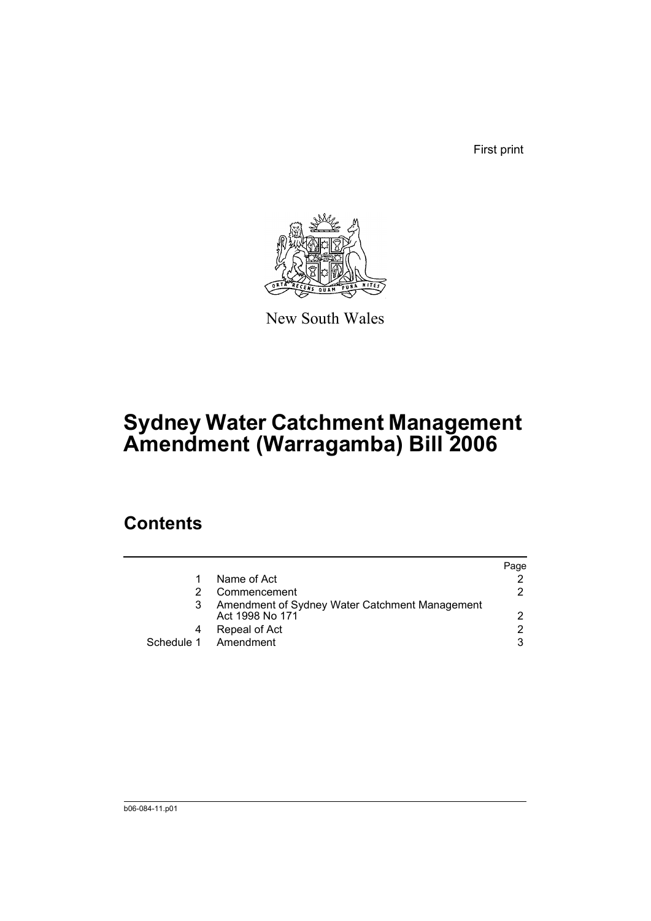First print



New South Wales

# **Sydney Water Catchment Management Amendment (Warragamba) Bill 2006**

### **Contents**

|                                                                   | Page          |
|-------------------------------------------------------------------|---------------|
| Name of Act                                                       |               |
| Commencement                                                      | 2             |
| Amendment of Sydney Water Catchment Management<br>Act 1998 No 171 |               |
| Repeal of Act                                                     | $\mathcal{P}$ |
| Schedule 1 Amendment                                              | 3             |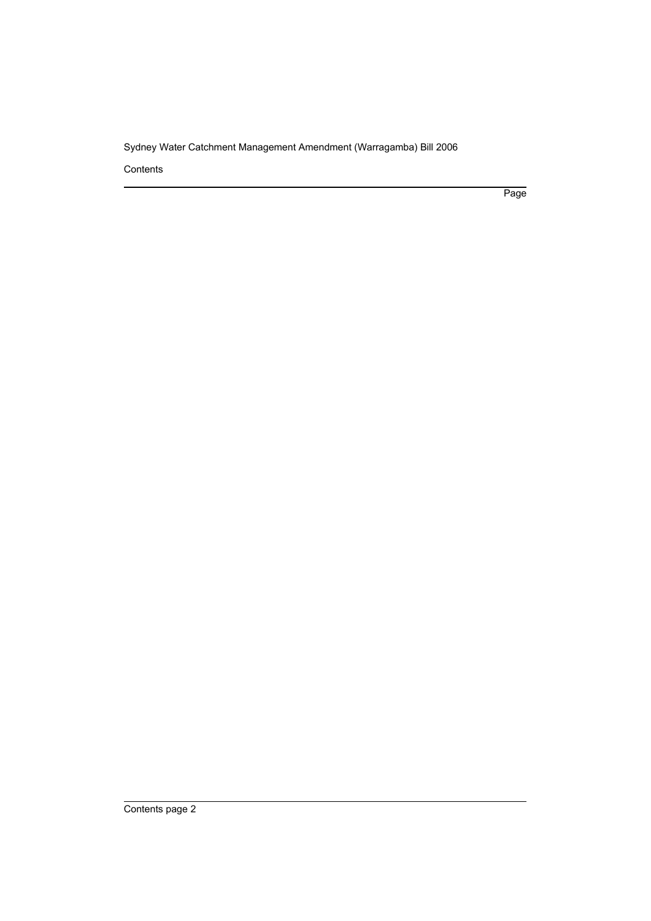Sydney Water Catchment Management Amendment (Warragamba) Bill 2006

Contents

Page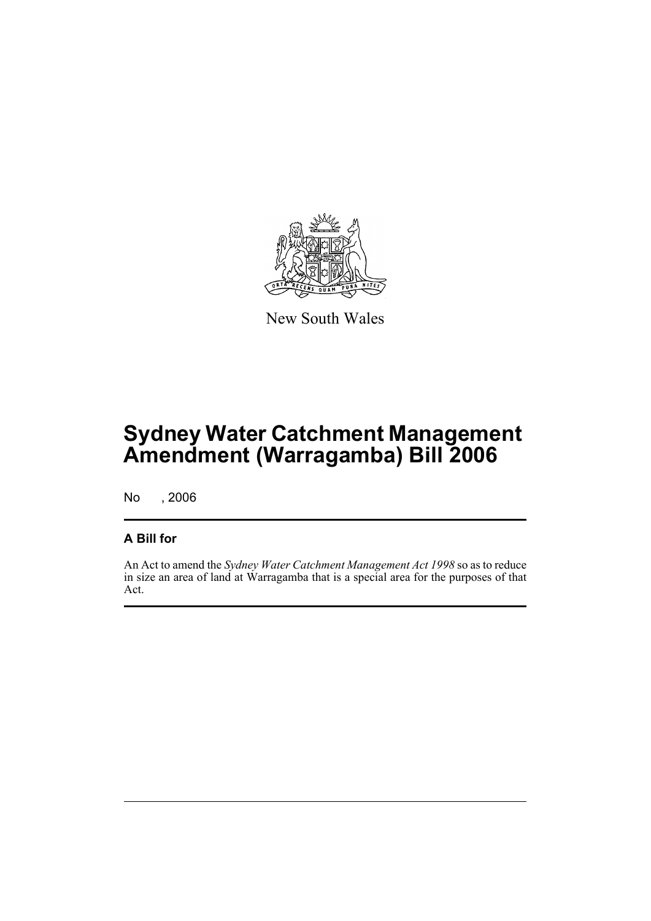

New South Wales

## **Sydney Water Catchment Management Amendment (Warragamba) Bill 2006**

No , 2006

#### **A Bill for**

An Act to amend the *Sydney Water Catchment Management Act 1998* so as to reduce in size an area of land at Warragamba that is a special area for the purposes of that Act.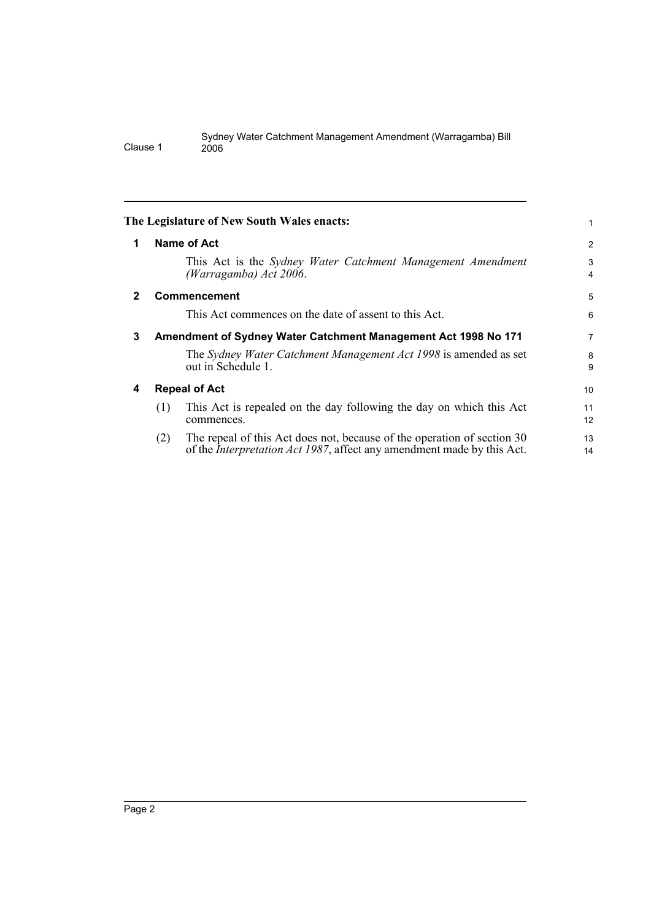<span id="page-5-3"></span><span id="page-5-2"></span><span id="page-5-1"></span><span id="page-5-0"></span>

|              | The Legislature of New South Wales enacts:                                                                                                                       |                |
|--------------|------------------------------------------------------------------------------------------------------------------------------------------------------------------|----------------|
| 1            | Name of Act                                                                                                                                                      | $\overline{2}$ |
|              | This Act is the Sydney Water Catchment Management Amendment<br>(Warragamba) Act 2006.                                                                            | 3<br>4         |
| $\mathbf{2}$ | <b>Commencement</b>                                                                                                                                              | 5              |
|              | This Act commences on the date of assent to this Act.                                                                                                            | 6              |
| 3            | Amendment of Sydney Water Catchment Management Act 1998 No 171                                                                                                   | $\overline{7}$ |
|              | The Sydney Water Catchment Management Act 1998 is amended as set<br>out in Schedule 1.                                                                           | 8<br>9         |
| 4            | <b>Repeal of Act</b>                                                                                                                                             | 10             |
|              | This Act is repealed on the day following the day on which this Act<br>(1)<br>commences.                                                                         | 11<br>12       |
|              | The repeal of this Act does not, because of the operation of section 30<br>(2)<br>of the <i>Interpretation Act 1987</i> , affect any amendment made by this Act. | 13<br>14       |